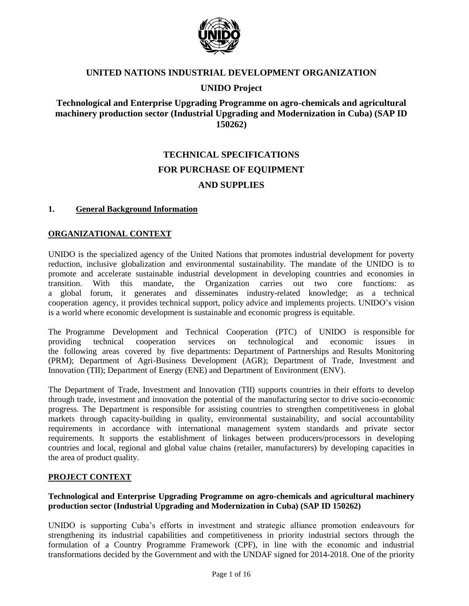

### **UNITED NATIONS INDUSTRIAL DEVELOPMENT ORGANIZATION**

### **UNIDO Project**

### **Technological and Enterprise Upgrading Programme on agro-chemicals and agricultural machinery production sector (Industrial Upgrading and Modernization in Cuba) (SAP ID 150262)**

# **TECHNICAL SPECIFICATIONS FOR PURCHASE OF EQUIPMENT AND SUPPLIES**

#### **1. General Background Information**

### **ORGANIZATIONAL CONTEXT**

UNIDO is the specialized agency of the United Nations that promotes industrial development for poverty reduction, inclusive globalization and environmental sustainability. The mandate of the UNIDO is to promote and accelerate sustainable industrial development in developing countries and economies in transition. With this mandate, the Organization carries out two core functions: as a global forum, it generates and disseminates industry-related knowledge; as a technical cooperation agency, it provides technical support, policy advice and implements projects. UNIDO's vision is a world where economic development is sustainable and economic progress is equitable.

The Programme Development and Technical Cooperation (PTC) of UNIDO is responsible for providing technical cooperation services on technological and economic issues in the following areas covered by five departments: Department of Partnerships and Results Monitoring (PRM); Department of Agri-Business Development (AGR); Department of Trade, Investment and Innovation (TII); Department of Energy (ENE) and Department of Environment (ENV).

The Department of Trade, Investment and Innovation (TII) supports countries in their efforts to develop through trade, investment and innovation the potential of the manufacturing sector to drive socio-economic progress. The Department is responsible for assisting countries to strengthen competitiveness in global markets through capacity-building in quality, environmental sustainability, and social accountability requirements in accordance with international management system standards and private sector requirements. It supports the establishment of linkages between producers/processors in developing countries and local, regional and global value chains (retailer, manufacturers) by developing capacities in the area of product quality.

### **PROJECT CONTEXT**

### **Technological and Enterprise Upgrading Programme on agro-chemicals and agricultural machinery production sector (Industrial Upgrading and Modernization in Cuba) (SAP ID 150262)**

UNIDO is supporting Cuba's efforts in investment and strategic alliance promotion endeavours for strengthening its industrial capabilities and competitiveness in priority industrial sectors through the formulation of a Country Programme Framework (CPF), in line with the economic and industrial transformations decided by the Government and with the UNDAF signed for 2014-2018. One of the priority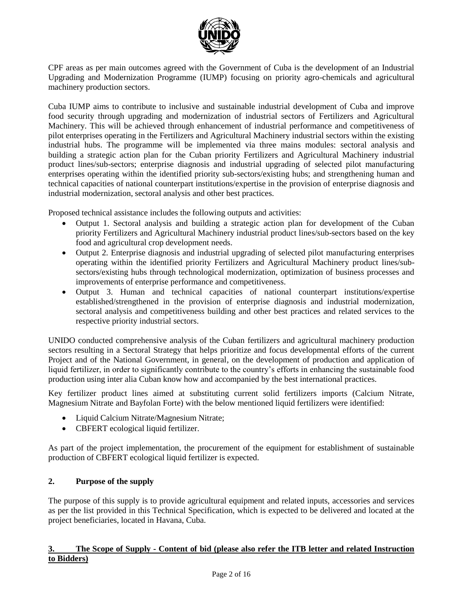

CPF areas as per main outcomes agreed with the Government of Cuba is the development of an Industrial Upgrading and Modernization Programme (IUMP) focusing on priority agro-chemicals and agricultural machinery production sectors.

Cuba IUMP aims to contribute to inclusive and sustainable industrial development of Cuba and improve food security through upgrading and modernization of industrial sectors of Fertilizers and Agricultural Machinery. This will be achieved through enhancement of industrial performance and competitiveness of pilot enterprises operating in the Fertilizers and Agricultural Machinery industrial sectors within the existing industrial hubs. The programme will be implemented via three mains modules: sectoral analysis and building a strategic action plan for the Cuban priority Fertilizers and Agricultural Machinery industrial product lines/sub-sectors; enterprise diagnosis and industrial upgrading of selected pilot manufacturing enterprises operating within the identified priority sub-sectors/existing hubs; and strengthening human and technical capacities of national counterpart institutions/expertise in the provision of enterprise diagnosis and industrial modernization, sectoral analysis and other best practices.

Proposed technical assistance includes the following outputs and activities:

- Output 1. Sectoral analysis and building a strategic action plan for development of the Cuban priority Fertilizers and Agricultural Machinery industrial product lines/sub-sectors based on the key food and agricultural crop development needs.
- Output 2. Enterprise diagnosis and industrial upgrading of selected pilot manufacturing enterprises operating within the identified priority Fertilizers and Agricultural Machinery product lines/subsectors/existing hubs through technological modernization, optimization of business processes and improvements of enterprise performance and competitiveness.
- Output 3. Human and technical capacities of national counterpart institutions/expertise established/strengthened in the provision of enterprise diagnosis and industrial modernization, sectoral analysis and competitiveness building and other best practices and related services to the respective priority industrial sectors.

UNIDO conducted comprehensive analysis of the Cuban fertilizers and agricultural machinery production sectors resulting in a Sectoral Strategy that helps prioritize and focus developmental efforts of the current Project and of the National Government, in general, on the development of production and application of liquid fertilizer, in order to significantly contribute to the country's efforts in enhancing the sustainable food production using inter alia Cuban know how and accompanied by the best international practices.

Key fertilizer product lines aimed at substituting current solid fertilizers imports (Calcium Nitrate, Magnesium Nitrate and Bayfolan Forte) with the below mentioned liquid fertilizers were identified:

- Liquid Calcium Nitrate/Magnesium Nitrate;
- CBFERT ecological liquid fertilizer.

As part of the project implementation, the procurement of the equipment for establishment of sustainable production of CBFERT ecological liquid fertilizer is expected.

### **2. Purpose of the supply**

The purpose of this supply is to provide agricultural equipment and related inputs, accessories and services as per the list provided in this Technical Specification, which is expected to be delivered and located at the project beneficiaries, located in Havana, Cuba.

### **3. The Scope of Supply - Content of bid (please also refer the ITB letter and related Instruction to Bidders)**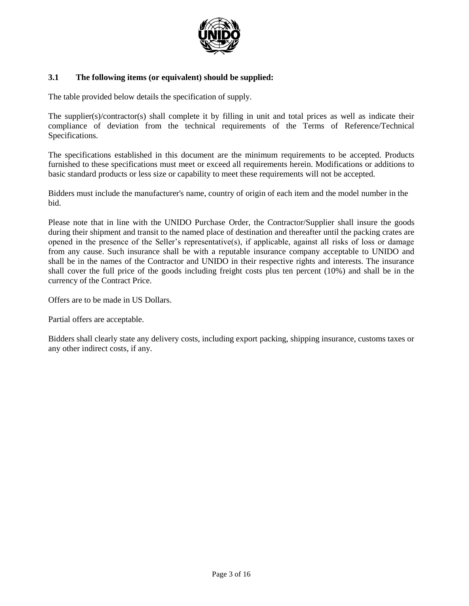

### **3.1 The following items (or equivalent) should be supplied:**

The table provided below details the specification of supply.

The supplier(s)/contractor(s) shall complete it by filling in unit and total prices as well as indicate their compliance of deviation from the technical requirements of the Terms of Reference/Technical Specifications.

The specifications established in this document are the minimum requirements to be accepted. Products furnished to these specifications must meet or exceed all requirements herein. Modifications or additions to basic standard products or less size or capability to meet these requirements will not be accepted.

Bidders must include the manufacturer's name, country of origin of each item and the model number in the bid.

Please note that in line with the UNIDO Purchase Order, the Contractor/Supplier shall insure the goods during their shipment and transit to the named place of destination and thereafter until the packing crates are opened in the presence of the Seller's representative(s), if applicable, against all risks of loss or damage from any cause. Such insurance shall be with a reputable insurance company acceptable to UNIDO and shall be in the names of the Contractor and UNIDO in their respective rights and interests. The insurance shall cover the full price of the goods including freight costs plus ten percent (10%) and shall be in the currency of the Contract Price.

Offers are to be made in US Dollars.

Partial offers are acceptable.

Bidders shall clearly state any delivery costs, including export packing, shipping insurance, customs taxes or any other indirect costs, if any.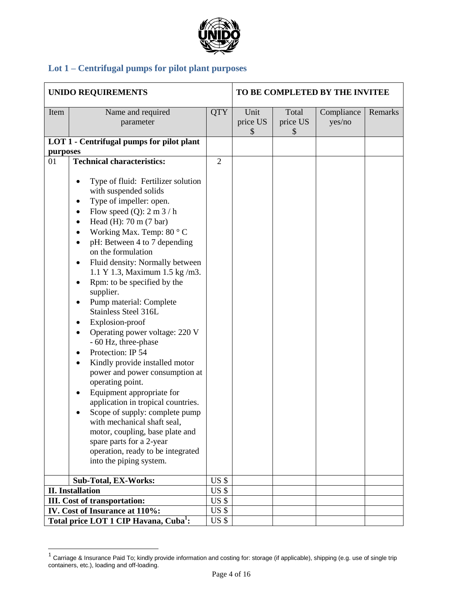

# **Lot 1 – Centrifugal pumps for pilot plant purposes**

| <b>UNIDO REQUIREMENTS</b>                         |                                                                                                                                                                                                                                                                                                                                                                                                                                                                                                                                                                                                                                                                                                                                                                                                                                                                                                                                                     |                         | TO BE COMPLETED BY THE INVITEE |                         |                      |         |
|---------------------------------------------------|-----------------------------------------------------------------------------------------------------------------------------------------------------------------------------------------------------------------------------------------------------------------------------------------------------------------------------------------------------------------------------------------------------------------------------------------------------------------------------------------------------------------------------------------------------------------------------------------------------------------------------------------------------------------------------------------------------------------------------------------------------------------------------------------------------------------------------------------------------------------------------------------------------------------------------------------------------|-------------------------|--------------------------------|-------------------------|----------------------|---------|
| Item                                              | Name and required<br>parameter                                                                                                                                                                                                                                                                                                                                                                                                                                                                                                                                                                                                                                                                                                                                                                                                                                                                                                                      |                         | Unit<br>price US<br>\$         | Total<br>price US<br>\$ | Compliance<br>yes/no | Remarks |
|                                                   | LOT 1 - Centrifugal pumps for pilot plant                                                                                                                                                                                                                                                                                                                                                                                                                                                                                                                                                                                                                                                                                                                                                                                                                                                                                                           |                         |                                |                         |                      |         |
| purposes                                          |                                                                                                                                                                                                                                                                                                                                                                                                                                                                                                                                                                                                                                                                                                                                                                                                                                                                                                                                                     |                         |                                |                         |                      |         |
| 01                                                | <b>Technical characteristics:</b><br>Type of fluid: Fertilizer solution<br>with suspended solids<br>Type of impeller: open.<br>٠<br>Flow speed $(Q)$ : 2 m 3 / h<br>٠<br>Head $(H)$ : 70 m $(7 \text{ bar})$<br>Working Max. Temp: 80 °C<br>pH: Between 4 to 7 depending<br>٠<br>on the formulation<br>Fluid density: Normally between<br>٠<br>1.1 Y 1.3, Maximum 1.5 kg/m3.<br>Rpm: to be specified by the<br>$\bullet$<br>supplier.<br>Pump material: Complete<br>٠<br>Stainless Steel 316L<br>Explosion-proof<br>٠<br>Operating power voltage: 220 V<br>$\bullet$<br>- 60 Hz, three-phase<br>Protection: IP 54<br>$\bullet$<br>Kindly provide installed motor<br>$\bullet$<br>power and power consumption at<br>operating point.<br>Equipment appropriate for<br>$\bullet$<br>application in tropical countries.<br>Scope of supply: complete pump<br>with mechanical shaft seal,<br>motor, coupling, base plate and<br>spare parts for a 2-year | $\overline{2}$          |                                |                         |                      |         |
|                                                   | operation, ready to be integrated                                                                                                                                                                                                                                                                                                                                                                                                                                                                                                                                                                                                                                                                                                                                                                                                                                                                                                                   |                         |                                |                         |                      |         |
|                                                   | into the piping system.                                                                                                                                                                                                                                                                                                                                                                                                                                                                                                                                                                                                                                                                                                                                                                                                                                                                                                                             |                         |                                |                         |                      |         |
| <b>Sub-Total, EX-Works:</b>                       |                                                                                                                                                                                                                                                                                                                                                                                                                                                                                                                                                                                                                                                                                                                                                                                                                                                                                                                                                     |                         |                                |                         |                      |         |
| <b>II.</b> Installation                           |                                                                                                                                                                                                                                                                                                                                                                                                                                                                                                                                                                                                                                                                                                                                                                                                                                                                                                                                                     |                         |                                |                         |                      |         |
| <b>III.</b> Cost of transportation:               |                                                                                                                                                                                                                                                                                                                                                                                                                                                                                                                                                                                                                                                                                                                                                                                                                                                                                                                                                     |                         |                                |                         |                      |         |
|                                                   | IV. Cost of Insurance at 110%:                                                                                                                                                                                                                                                                                                                                                                                                                                                                                                                                                                                                                                                                                                                                                                                                                                                                                                                      | US <sub>3</sub><br>US\$ |                                |                         |                      |         |
| Total price LOT 1 CIP Havana, Cuba <sup>1</sup> : |                                                                                                                                                                                                                                                                                                                                                                                                                                                                                                                                                                                                                                                                                                                                                                                                                                                                                                                                                     |                         |                                |                         |                      |         |

<sup>&</sup>lt;u>nect</u><br><sup>1</sup> Carriage & Insurance Paid To; kindly provide information and costing for: storage (if applicable), shipping (e.g. use of single trip containers, etc.), loading and off-loading.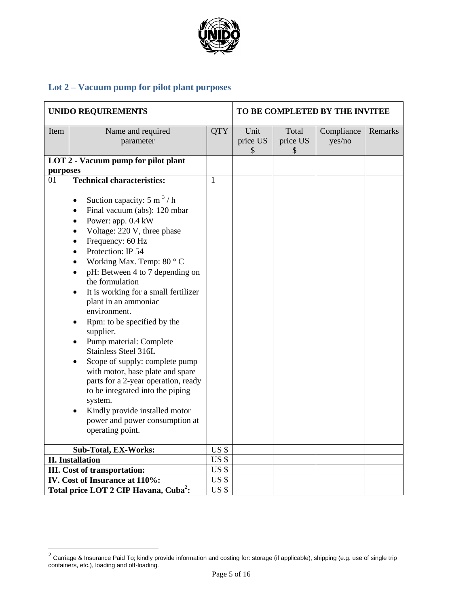

# **Lot 2 – Vacuum pump for pilot plant purposes**

| <b>UNIDO REQUIREMENTS</b>                         |                                                                                                                                                                                                                                                                                                                                                                                                                                                                                                                                                                                                                                                                                                                                                                                                                                                           |                 | TO BE COMPLETED BY THE INVITEE |                                    |                      |         |
|---------------------------------------------------|-----------------------------------------------------------------------------------------------------------------------------------------------------------------------------------------------------------------------------------------------------------------------------------------------------------------------------------------------------------------------------------------------------------------------------------------------------------------------------------------------------------------------------------------------------------------------------------------------------------------------------------------------------------------------------------------------------------------------------------------------------------------------------------------------------------------------------------------------------------|-----------------|--------------------------------|------------------------------------|----------------------|---------|
| Item                                              | Name and required<br>parameter                                                                                                                                                                                                                                                                                                                                                                                                                                                                                                                                                                                                                                                                                                                                                                                                                            | QTY             | Unit<br>price US<br>\$         | Total<br>price US<br>$\mathcal{S}$ | Compliance<br>yes/no | Remarks |
|                                                   | LOT 2 - Vacuum pump for pilot plant                                                                                                                                                                                                                                                                                                                                                                                                                                                                                                                                                                                                                                                                                                                                                                                                                       |                 |                                |                                    |                      |         |
| purposes                                          |                                                                                                                                                                                                                                                                                                                                                                                                                                                                                                                                                                                                                                                                                                                                                                                                                                                           |                 |                                |                                    |                      |         |
| 01                                                | <b>Technical characteristics:</b>                                                                                                                                                                                                                                                                                                                                                                                                                                                                                                                                                                                                                                                                                                                                                                                                                         | $\mathbf{1}$    |                                |                                    |                      |         |
|                                                   | Suction capacity: $5 \text{ m}^3$ / h<br>$\bullet$<br>Final vacuum (abs): 120 mbar<br>$\bullet$<br>Power: app. 0.4 kW<br>$\bullet$<br>Voltage: 220 V, three phase<br>$\bullet$<br>Frequency: 60 Hz<br>٠<br>Protection: IP 54<br>$\bullet$<br>Working Max. Temp: 80 °C<br>$\bullet$<br>pH: Between 4 to 7 depending on<br>$\bullet$<br>the formulation<br>It is working for a small fertilizer<br>$\bullet$<br>plant in an ammoniac<br>environment.<br>Rpm: to be specified by the<br>$\bullet$<br>supplier.<br>Pump material: Complete<br>$\bullet$<br>Stainless Steel 316L<br>Scope of supply: complete pump<br>$\bullet$<br>with motor, base plate and spare<br>parts for a 2-year operation, ready<br>to be integrated into the piping<br>system.<br>Kindly provide installed motor<br>$\bullet$<br>power and power consumption at<br>operating point. |                 |                                |                                    |                      |         |
|                                                   | <b>Sub-Total, EX-Works:</b>                                                                                                                                                                                                                                                                                                                                                                                                                                                                                                                                                                                                                                                                                                                                                                                                                               | US <sub>5</sub> |                                |                                    |                      |         |
|                                                   | <b>II.</b> Installation                                                                                                                                                                                                                                                                                                                                                                                                                                                                                                                                                                                                                                                                                                                                                                                                                                   | US \$           |                                |                                    |                      |         |
|                                                   | <b>III.</b> Cost of transportation:                                                                                                                                                                                                                                                                                                                                                                                                                                                                                                                                                                                                                                                                                                                                                                                                                       | $US$ \$         |                                |                                    |                      |         |
|                                                   | IV. Cost of Insurance at 110%:<br>US <sub>5</sub>                                                                                                                                                                                                                                                                                                                                                                                                                                                                                                                                                                                                                                                                                                                                                                                                         |                 |                                |                                    |                      |         |
| Total price LOT 2 CIP Havana, Cuba <sup>2</sup> : |                                                                                                                                                                                                                                                                                                                                                                                                                                                                                                                                                                                                                                                                                                                                                                                                                                                           |                 |                                |                                    |                      |         |

<sup>&</sup>lt;u>2</u><br><sup>2</sup> Carriage & Insurance Paid To; kindly provide information and costing for: storage (if applicable), shipping (e.g. use of single trip containers, etc.), loading and off-loading.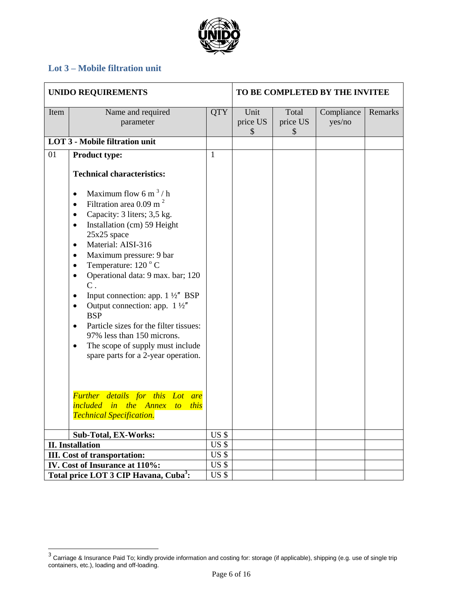

# **Lot 3 – Mobile filtration unit**

| <b>UNIDO REQUIREMENTS</b> |                                                                                                                                                                                                                                                                                                                                                                                                                                                                                                                                                                                                                                                                                                  |                                    | TO BE COMPLETED BY THE INVITEE    |                                    |                      |         |
|---------------------------|--------------------------------------------------------------------------------------------------------------------------------------------------------------------------------------------------------------------------------------------------------------------------------------------------------------------------------------------------------------------------------------------------------------------------------------------------------------------------------------------------------------------------------------------------------------------------------------------------------------------------------------------------------------------------------------------------|------------------------------------|-----------------------------------|------------------------------------|----------------------|---------|
| Item                      | Name and required<br>parameter                                                                                                                                                                                                                                                                                                                                                                                                                                                                                                                                                                                                                                                                   | <b>QTY</b>                         | Unit<br>price US<br>$\mathcal{S}$ | Total<br>price US<br>$\mathcal{S}$ | Compliance<br>yes/no | Remarks |
|                           | <b>LOT 3 - Mobile filtration unit</b>                                                                                                                                                                                                                                                                                                                                                                                                                                                                                                                                                                                                                                                            |                                    |                                   |                                    |                      |         |
| 01                        | <b>Product type:</b>                                                                                                                                                                                                                                                                                                                                                                                                                                                                                                                                                                                                                                                                             | $\mathbf{1}$                       |                                   |                                    |                      |         |
|                           | <b>Technical characteristics:</b>                                                                                                                                                                                                                                                                                                                                                                                                                                                                                                                                                                                                                                                                |                                    |                                   |                                    |                      |         |
|                           | Maximum flow 6 m <sup>3</sup> /h<br>$\bullet$<br>Filtration area $0.09$ m <sup>2</sup><br>$\bullet$<br>Capacity: 3 liters; 3,5 kg.<br>$\bullet$<br>Installation (cm) 59 Height<br>$\bullet$<br>25x25 space<br>Material: AISI-316<br>$\bullet$<br>Maximum pressure: 9 bar<br>$\bullet$<br>Temperature: 120 °C<br>$\bullet$<br>Operational data: 9 max. bar; 120<br>$\bullet$<br>$C$ .<br>Input connection: app. $1\frac{1}{2}$ BSP<br>$\bullet$<br>Output connection: app. $1\frac{1}{2}$<br>$\bullet$<br><b>BSP</b><br>Particle sizes for the filter tissues:<br>$\bullet$<br>97% less than 150 microns.<br>The scope of supply must include<br>$\bullet$<br>spare parts for a 2-year operation. |                                    |                                   |                                    |                      |         |
|                           | Further details for this Lot are<br>included in the Annex to this<br><b>Technical Specification.</b>                                                                                                                                                                                                                                                                                                                                                                                                                                                                                                                                                                                             |                                    |                                   |                                    |                      |         |
|                           | <b>Sub-Total, EX-Works:</b>                                                                                                                                                                                                                                                                                                                                                                                                                                                                                                                                                                                                                                                                      | US <sub>5</sub><br>US <sub>5</sub> |                                   |                                    |                      |         |
|                           | <b>II.</b> Installation                                                                                                                                                                                                                                                                                                                                                                                                                                                                                                                                                                                                                                                                          |                                    |                                   |                                    |                      |         |
|                           | US <sub>5</sub><br><b>III.</b> Cost of transportation:                                                                                                                                                                                                                                                                                                                                                                                                                                                                                                                                                                                                                                           |                                    |                                   |                                    |                      |         |
|                           | US <sub>5</sub><br>IV. Cost of Insurance at 110%:                                                                                                                                                                                                                                                                                                                                                                                                                                                                                                                                                                                                                                                |                                    |                                   |                                    |                      |         |
|                           | Total price LOT 3 CIP Havana, Cuba <sup>3</sup> :<br>US \$                                                                                                                                                                                                                                                                                                                                                                                                                                                                                                                                                                                                                                       |                                    |                                   |                                    |                      |         |

 3 Carriage & Insurance Paid To; kindly provide information and costing for: storage (if applicable), shipping (e.g. use of single trip containers, etc.), loading and off-loading.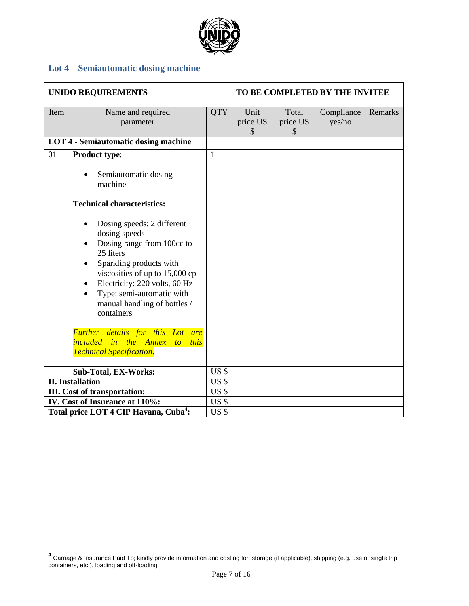

# **Lot 4 – Semiautomatic dosing machine**

| <b>UNIDO REQUIREMENTS</b>                                                                                                                                                              |                                                                                                                                                                                                                                                                                           |                  | TO BE COMPLETED BY THE INVITEE |                                    |                      |         |
|----------------------------------------------------------------------------------------------------------------------------------------------------------------------------------------|-------------------------------------------------------------------------------------------------------------------------------------------------------------------------------------------------------------------------------------------------------------------------------------------|------------------|--------------------------------|------------------------------------|----------------------|---------|
| Item                                                                                                                                                                                   | Name and required<br>parameter                                                                                                                                                                                                                                                            | <b>QTY</b>       | Unit<br>price US<br>\$         | Total<br>price US<br>$\mathcal{S}$ | Compliance<br>yes/no | Remarks |
|                                                                                                                                                                                        | <b>LOT 4 - Semiautomatic dosing machine</b>                                                                                                                                                                                                                                               |                  |                                |                                    |                      |         |
| 01                                                                                                                                                                                     | <b>Product type:</b><br>Semiautomatic dosing<br>machine<br><b>Technical characteristics:</b><br>Dosing speeds: 2 different<br>dosing speeds<br>Dosing range from 100cc to<br>25 liters<br>Sparkling products with<br>٠<br>viscosities of up to 15,000 cp<br>Electricity: 220 volts, 60 Hz | 1                |                                |                                    |                      |         |
| Type: semi-automatic with<br>manual handling of bottles /<br>containers<br>Further details for this Lot are<br><i>included in the Annex to this</i><br><b>Technical Specification.</b> |                                                                                                                                                                                                                                                                                           |                  |                                |                                    |                      |         |
| Sub-Total, EX-Works:                                                                                                                                                                   |                                                                                                                                                                                                                                                                                           | $\overline{USS}$ |                                |                                    |                      |         |
|                                                                                                                                                                                        | <b>II.</b> Installation                                                                                                                                                                                                                                                                   |                  |                                |                                    |                      |         |
|                                                                                                                                                                                        | <b>III.</b> Cost of transportation:                                                                                                                                                                                                                                                       | US <sub>5</sub>  |                                |                                    |                      |         |
|                                                                                                                                                                                        | IV. Cost of Insurance at 110%:                                                                                                                                                                                                                                                            |                  |                                |                                    |                      |         |
| Total price LOT 4 CIP Havana, Cuba <sup>4</sup> :                                                                                                                                      |                                                                                                                                                                                                                                                                                           |                  |                                |                                    |                      |         |

 4 Carriage & Insurance Paid To; kindly provide information and costing for: storage (if applicable), shipping (e.g. use of single trip containers, etc.), loading and off-loading.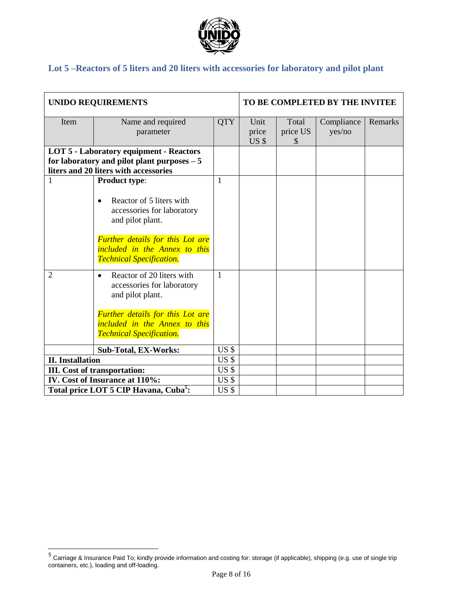

# **Lot 5 –Reactors of 5 liters and 20 liters with accessories for laboratory and pilot plant**

| <b>UNIDO REQUIREMENTS</b>      |                                                                                                                             |                         | TO BE COMPLETED BY THE INVITEE |          |        |  |
|--------------------------------|-----------------------------------------------------------------------------------------------------------------------------|-------------------------|--------------------------------|----------|--------|--|
| Item                           | Name and required                                                                                                           | <b>QTY</b>              | Unit                           | Remarks  |        |  |
|                                | parameter                                                                                                                   |                         | price                          | price US | yes/no |  |
|                                |                                                                                                                             |                         | US <sub>5</sub>                | \$       |        |  |
|                                | <b>LOT 5 - Laboratory equipment - Reactors</b>                                                                              |                         |                                |          |        |  |
|                                | for laboratory and pilot plant purposes $-5$                                                                                |                         |                                |          |        |  |
|                                | liters and 20 liters with accessories                                                                                       |                         |                                |          |        |  |
| $\mathbf{1}$                   | <b>Product type:</b>                                                                                                        | 1                       |                                |          |        |  |
|                                | Reactor of 5 liters with<br>$\bullet$<br>accessories for laboratory<br>and pilot plant.<br>Further details for this Lot are |                         |                                |          |        |  |
|                                | included in the Annex to this<br><b>Technical Specification.</b>                                                            |                         |                                |          |        |  |
| $\overline{2}$                 | Reactor of 20 liters with<br>$\bullet$<br>accessories for laboratory<br>and pilot plant.                                    | 1                       |                                |          |        |  |
|                                | <b>Further details for this Lot are</b><br>included in the Annex to this<br><b>Technical Specification.</b>                 |                         |                                |          |        |  |
|                                | <b>Sub-Total, EX-Works:</b>                                                                                                 | US \$                   |                                |          |        |  |
| <b>II.</b> Installation        |                                                                                                                             |                         |                                |          |        |  |
|                                | <b>III.</b> Cost of transportation:                                                                                         | US \$                   | US <sub>5</sub>                |          |        |  |
| IV. Cost of Insurance at 110%: |                                                                                                                             |                         |                                |          |        |  |
|                                | Total price LOT 5 CIP Havana, Cuba <sup>5</sup> :                                                                           | US\$<br>US <sub>5</sub> |                                |          |        |  |

<sup>&</sup>lt;u>5</u><br><sup>5</sup> Carriage & Insurance Paid To; kindly provide information and costing for: storage (if applicable), shipping (e.g. use of single trip containers, etc.), loading and off-loading.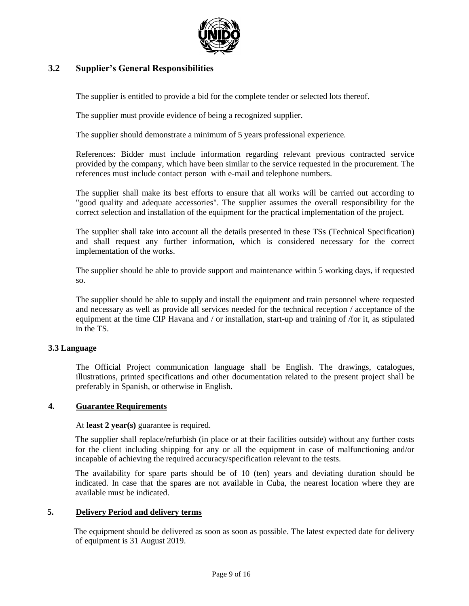

## **3.2 Supplier's General Responsibilities**

The supplier is entitled to provide a bid for the complete tender or selected lots thereof.

The supplier must provide evidence of being a recognized supplier.

The supplier should demonstrate a minimum of 5 years professional experience.

References: Bidder must include information regarding relevant previous contracted service provided by the company, which have been similar to the service requested in the procurement. The references must include contact person with e-mail and telephone numbers.

The supplier shall make its best efforts to ensure that all works will be carried out according to "good quality and adequate accessories". The supplier assumes the overall responsibility for the correct selection and installation of the equipment for the practical implementation of the project.

The supplier shall take into account all the details presented in these TSs (Technical Specification) and shall request any further information, which is considered necessary for the correct implementation of the works.

The supplier should be able to provide support and maintenance within 5 working days, if requested so.

The supplier should be able to supply and install the equipment and train personnel where requested and necessary as well as provide all services needed for the technical reception / acceptance of the equipment at the time CIP Havana and / or installation, start-up and training of /for it, as stipulated in the TS.

### **3.3 Language**

The Official Project communication language shall be English. The drawings, catalogues, illustrations, printed specifications and other documentation related to the present project shall be preferably in Spanish, or otherwise in English.

### **4. Guarantee Requirements**

### At **least 2 year(s)** guarantee is required.

The supplier shall replace/refurbish (in place or at their facilities outside) without any further costs for the client including shipping for any or all the equipment in case of malfunctioning and/or incapable of achieving the required accuracy/specification relevant to the tests.

The availability for spare parts should be of 10 (ten) years and deviating duration should be indicated. In case that the spares are not available in Cuba, the nearest location where they are available must be indicated.

### **5. Delivery Period and delivery terms**

 The equipment should be delivered as soon as soon as possible. The latest expected date for delivery of equipment is 31 August 2019.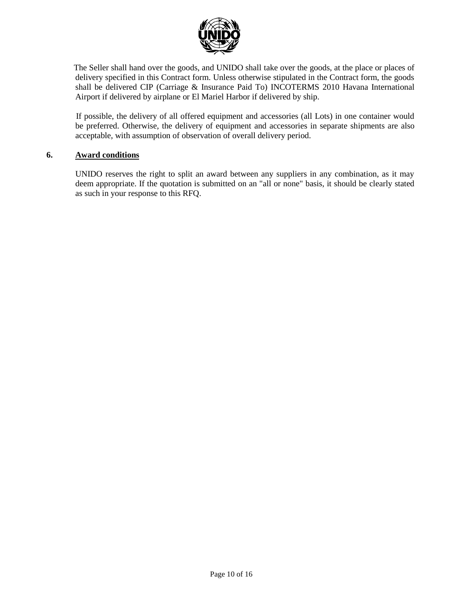

 The Seller shall hand over the goods, and UNIDO shall take over the goods, at the place or places of delivery specified in this Contract form. Unless otherwise stipulated in the Contract form, the goods shall be delivered CIP (Carriage & Insurance Paid To) INCOTERMS 2010 Havana International Airport if delivered by airplane or El Mariel Harbor if delivered by ship.

 If possible, the delivery of all offered equipment and accessories (all Lots) in one container would be preferred. Otherwise, the delivery of equipment and accessories in separate shipments are also acceptable, with assumption of observation of overall delivery period.

### **6. Award conditions**

UNIDO reserves the right to split an award between any suppliers in any combination, as it may deem appropriate. If the quotation is submitted on an "all or none" basis, it should be clearly stated as such in your response to this RFQ.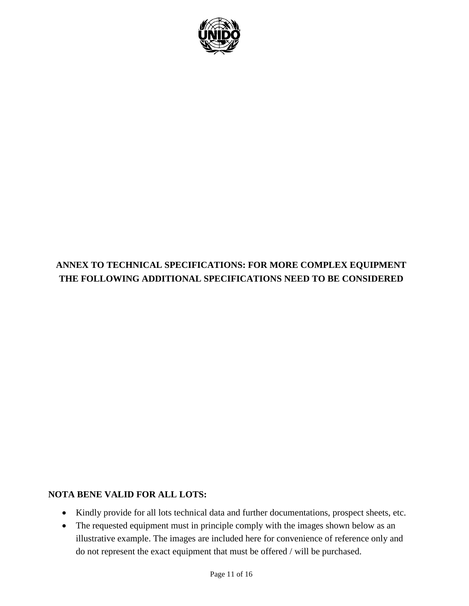

# **ANNEX TO TECHNICAL SPECIFICATIONS: FOR MORE COMPLEX EQUIPMENT THE FOLLOWING ADDITIONAL SPECIFICATIONS NEED TO BE CONSIDERED**

# **NOTA BENE VALID FOR ALL LOTS:**

- Kindly provide for all lots technical data and further documentations, prospect sheets, etc.
- The requested equipment must in principle comply with the images shown below as an illustrative example. The images are included here for convenience of reference only and do not represent the exact equipment that must be offered / will be purchased.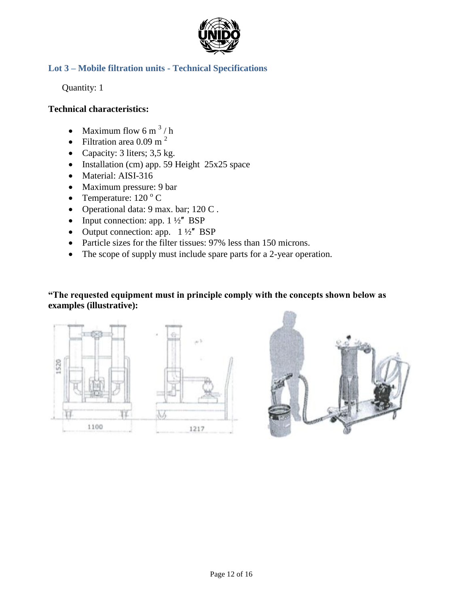

# **Lot 3 – Mobile filtration units - Technical Specifications**

Quantity: 1

### **Technical characteristics:**

- Maximum flow 6 m<sup>3</sup>/h
- Filtration area  $0.09 \text{ m}^2$
- Capacity: 3 liters; 3,5 kg.
- Installation (cm) app. 59 Height 25x25 space
- Material: AISI-316
- Maximum pressure: 9 bar
- Temperature:  $120^{\circ}$  C
- Operational data: 9 max. bar; 120 C.
- Input connection: app.  $1 \frac{1}{2}$  BSP
- Output connection: app.  $1\frac{1}{2}$  BSP
- Particle sizes for the filter tissues: 97% less than 150 microns.
- The scope of supply must include spare parts for a 2-year operation.

# **"The requested equipment must in principle comply with the concepts shown below as examples (illustrative):**



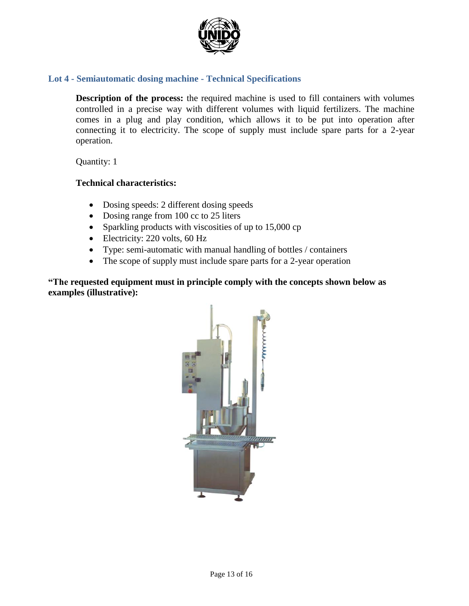

## **Lot 4 - Semiautomatic dosing machine - Technical Specifications**

**Description of the process:** the required machine is used to fill containers with volumes controlled in a precise way with different volumes with liquid fertilizers. The machine comes in a plug and play condition, which allows it to be put into operation after connecting it to electricity. The scope of supply must include spare parts for a 2-year operation.

Quantity: 1

### **Technical characteristics:**

- Dosing speeds: 2 different dosing speeds
- Dosing range from 100 cc to 25 liters
- Sparkling products with viscosities of up to 15,000 cp
- Electricity: 220 volts, 60 Hz
- Type: semi-automatic with manual handling of bottles / containers
- The scope of supply must include spare parts for a 2-year operation

**"The requested equipment must in principle comply with the concepts shown below as examples (illustrative):**

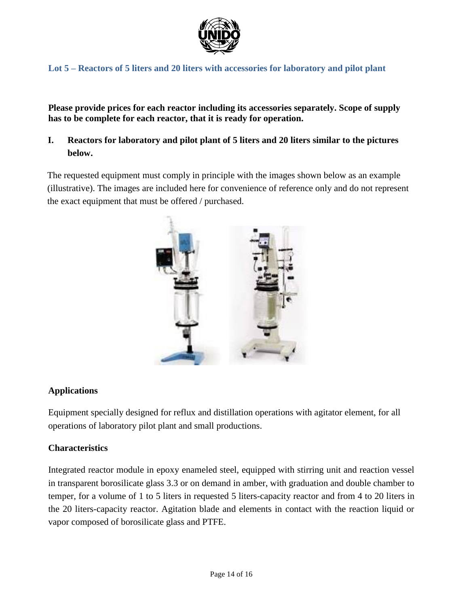

# **Lot 5 – Reactors of 5 liters and 20 liters with accessories for laboratory and pilot plant**

**Please provide prices for each reactor including its accessories separately. Scope of supply has to be complete for each reactor, that it is ready for operation.** 

# **I. Reactors for laboratory and pilot plant of 5 liters and 20 liters similar to the pictures below.**

The requested equipment must comply in principle with the images shown below as an example (illustrative). The images are included here for convenience of reference only and do not represent the exact equipment that must be offered / purchased.



# **Applications**

Equipment specially designed for reflux and distillation operations with agitator element, for all operations of laboratory pilot plant and small productions.

# **Characteristics**

Integrated reactor module in epoxy enameled steel, equipped with stirring unit and reaction vessel in transparent borosilicate glass 3.3 or on demand in amber, with graduation and double chamber to temper, for a volume of 1 to 5 liters in requested 5 liters-capacity reactor and from 4 to 20 liters in the 20 liters-capacity reactor. Agitation blade and elements in contact with the reaction liquid or vapor composed of borosilicate glass and PTFE.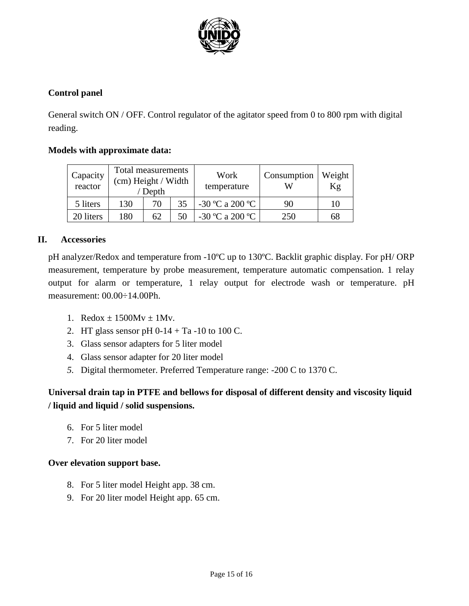

# **Control panel**

General switch ON / OFF. Control regulator of the agitator speed from 0 to 800 rpm with digital reading.

## **Models with approximate data:**

| Capacity<br>reactor | Total measurements<br>(cm) Height / Width<br>Depth |    | Work<br>temperature | Consumption     | Weight<br>Κg |    |
|---------------------|----------------------------------------------------|----|---------------------|-----------------|--------------|----|
| 5 liters            | 130                                                | 70 | 35                  | -30 °C a 200 °C | 90           | 10 |
| 20 liters           | 180                                                | 62 | 50                  | -30 °C a 200 °C | 250          | 68 |

### **II. Accessories**

pH analyzer/Redox and temperature from -10ºC up to 130ºC. Backlit graphic display. For pH/ ORP measurement, temperature by probe measurement, temperature automatic compensation. 1 relay output for alarm or temperature, 1 relay output for electrode wash or temperature. pH measurement: 00.00÷14.00Ph.

- 1. Redox  $\pm$  1500Mv  $\pm$  1Mv.
- 2. HT glass sensor pH  $0-14 + Ta 10$  to 100 C.
- 3. Glass sensor adapters for 5 liter model
- 4. Glass sensor adapter for 20 liter model
- *5.* Digital thermometer. Preferred Temperature range: -200 C to 1370 C.

# **Universal drain tap in PTFE and bellows for disposal of different density and viscosity liquid / liquid and liquid / solid suspensions.**

- 6. For 5 liter model
- 7. For 20 liter model

# **Over elevation support base.**

- 8. For 5 liter model Height app. 38 cm.
- 9. For 20 liter model Height app. 65 cm.